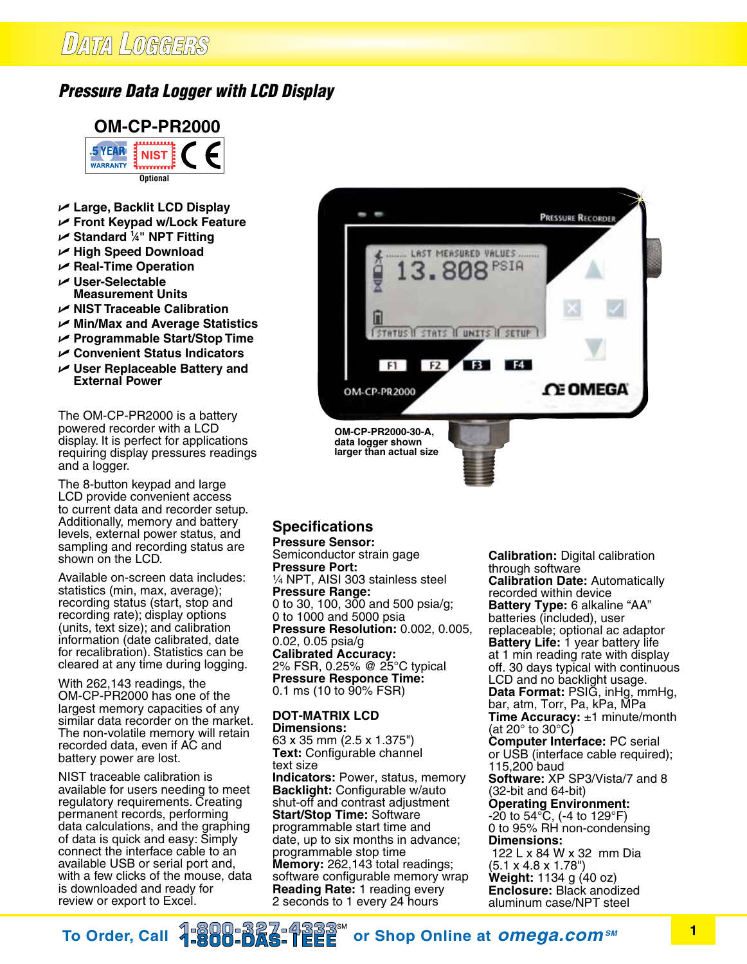## **DATA LOGGERS**

## *Pressure Data Logger with LCD Display*



- U **Large, Backlit LCD Display**
- U **Front Keypad w/Lock Feature**
- U **Standard 1 ⁄4" NPT Fitting**
- U **High Speed Download**
- U **Real-Time Operation**
- U **User-Selectable Measurement Units**
- U **NIST Traceable Calibration**
- U **Min/Max and Average Statistics**
- U **Programmable Start/Stop Time**
- U **Convenient Status Indicators**
- U **User Replaceable Battery and External Power**

The OM-CP-PR2000 is a battery powered recorder with a LCD display. It is perfect for applications requiring display pressures readings and a logger.

The 8-button keypad and large LCD provide convenient access to current data and recorder setup. Additionally, memory and battery levels, external power status, and sampling and recording status are shown on the LCD.

Available on-screen data includes: statistics (min, max, average); recording status (start, stop and recording rate); display options (units, text size); and calibration information (date calibrated, date for recalibration). Statistics can be cleared at any time during logging.

With 262,143 readings, the OM-CP-PR2000 has one of the largest memory capacities of any similar data recorder on the market. The non-volatile memory will retain recorded data, even if AC and battery power are lost.

NIST traceable calibration is available for users needing to meet regulatory requirements. Creating permanent records, performing data calculations, and the graphing of data is quick and easy: Simply connect the interface cable to an available USB or serial port and, with a few clicks of the mouse, data is downloaded and ready for review or export to Excel.



## **Specifications**

**Pressure Sensor:** Semiconductor strain gage **Pressure Port:** 1/4 NPT, AISI 303 stainless steel **Pressure Range:** 0 to 30, 100, 300 and 500 psia/g; 0 to 1000 and 5000 psia **Pressure Resolution:** 0.002, 0.005, 0.02, 0.05 psia/g **Calibrated Accuracy:** 2% FSR, 0.25% @ 25°C typical **Pressure Responce Time:** 0.1 ms (10 to 90% FSR)

**DOT-MATRIX LCD Dimensions:** 63 x 35 mm (2.5 x 1.375") **Text:** Configurable channel text size **Indicators:** Power, status, memory **Backlight:** Configurable w/auto shut-off and contrast adjustment **Start/Stop Time:** Software programmable start time and date, up to six months in advance; programmable stop time **Memory:** 262,143 total readings; software configurable memory wrap **Reading Rate:** 1 reading every 2 seconds to 1 every 24 hours

**Calibration:** Digital calibration through software **Calibration Date:** Automatically recorded within device **Battery Type:** 6 alkaline "AA" batteries (included), user replaceable; optional ac adaptor **Battery Life:** 1 year battery life at 1 min reading rate with display off. 30 days typical with continuous LCD and no backlight usage. **Data Format:** PSIG, inHg, mmHg, bar, atm, Torr, Pa, kPa, MPa **Time Accuracy:** ±1 minute/month (at 20° to 30°C) **Computer Interface:** PC serial or USB (interface cable required); 115,200 baud **Software:** XP SP3/Vista/7 and 8 (32-bit and 64-bit) **Operating Environment:**  $-20$  to 54 $\rm{^{\circ}C}$ , (-4 to 129 $\rm{^{\circ}F})$ 0 to 95% RH non-condensing **Dimensions:** 122 L x 84 W x 32 mm Dia (5.1 x 4.8 x 1.78") **Weight:** 1134 g (40 oz) **Enclosure:** Black anodized aluminum case/NPT steel